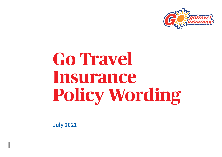

# **Go Travel Insurance Policy Wording**

**July 2021**

**I**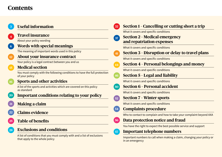## **Contents**

|  | <b>Useful information</b> |
|--|---------------------------|
|  |                           |

### **<sup>4</sup> [Travel insurance](#page-3-0)**

About your policy wording

**6 [Words with special meanings](#page-5-0)**

The meaning of important words used in this policy

**12 [About your insurance contract](#page-11-0)**

Your policy is a legal contract between you and us

### **15 [Medical section](#page-14-0)**

 You must comply with the following conditions to have the full protection of your policy

### **16 [Sports and other activities](#page-15-0)**

 A list of the sports and activities which are covered on this policy as standard

**20 [Important conditions relating to your policy](#page-19-0)**

**21 [Making a claim](#page-20-0)**

- **22 [Claims evidence](#page-21-0)**
- **25 [Table of benefits](#page-24-0)**

### **28 [Exclusions and conditions](#page-27-0)**

 A list of conditions that you must comply with and a list of exclusions that apply to the whole policy

### **32 [Section 1 – Cancelling or cutting short a trip](#page-31-0)** What it covers and specific conditions **[37 Section 2 – Medical emergency](#page-36-0)  [and repatriation expenses](#page-36-0)** What it covers and specific conditions **41 [Section 3 – Disruption or delay to travel plans](#page-40-0)** What it covers and specific conditions **<sup>44</sup> [Section 4 – Personal belongings and money](#page-43-0)** What it covers and specific conditions **46 [Section 5 – Legal and liability](#page-45-0)** What it covers and specific conditions **50 [Section 6 – Personal accident](#page-49-0)** What it covers and specific conditions **[52 Section 7 – Winter sports](#page-51-0)** What it covers and specific conditions **54 [Complaints procedure](#page-53-0)** Who to contact to complain and how to take your complaint beyond AXA **56 [Data protection notice and fraud](#page-55-0)** You have the right to expect the best possible service and support **57 [Important telephone numbers](#page-56-0)** Important numbers to call when making a claim, changing your policy or in an emergency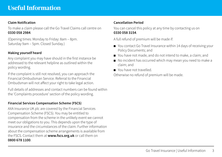### <span id="page-2-0"></span>**Claim Notification**

To make a claim please call the Go Travel Claims call centre on **0330 058 2984**.

(Opening times: Monday to Friday: 8am – 8pm. Saturday 9am – 5pm. Closed Sunday.)

### **Making yourself heard**

Any complaint you may have should in the first instance be addressed to the relevant helpline as outlined within the policy wording.

If the complaint is still not resolved, you can approach the Financial Ombudsman Service. Referral to the Financial Ombudsman will not affect your right to take legal action.

Full details of addresses and contact numbers can be found within the 'Complaints procedure' section of the policy wording.

### **Financial Services Compensation Scheme (FSCS)**

AXA Insurance UK plc are covered by the Financial Services Compensation Scheme (FSCS). You may be entitled to compensation from the scheme in the unlikely event we cannot meet our obligations to you. This depends upon the type of insurance and the circumstances of the claim. Further information about the compensation scheme arrangements is available from the FSCS. Contact them at **[www.fscs.org.uk](http://www.fscs.org.uk)** or call them on **0800 678 1100**.

### **Cancellation Period**

You can cancel this policy at any time by contacting us on **0330 058 3154**.

A full refund of premium will be made if:

- You contact Go Travel Insurance within 14 days of receiving your Policy Documents; and
- You have not made, and do not intend to make, a claim; and
- No incident has occurred which may mean you need to make a claim; and
- You have not travelled.

Otherwise no refund of premium will be made.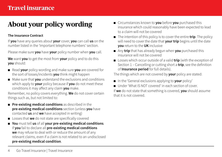## <span id="page-3-0"></span>**About your policy wording**

### **The Insurance Contract**

If **you** have any queries about **your** cover, **you** can call **us** on the number listed in the 'Important telephone numbers' section.

Please make sure **you** have **your** policy number when **you** call.

**We** want **you** to get the most from **your** policy and to do this **you** should:

- Read **your** policy wording and make sure **you** are covered for the sort of losses/incidents **you** think might happen
- Make sure that **you** understand the exclusions and conditions which apply to **your** policy because if **you** do not meet these conditions it may affect any claim **you** make.

Remember, no policy covers everything. **We** do not cover certain things such as, but not limited to:

- **Pre-existing medical conditions** as described in the **pre-existing medical conditions** section (unless **you** have contacted **us** and **we** have accepted in writing)
- Losses that **we** do not state are specifically covered
- **You** must tell **us** of all **your pre-existing medical conditions**. If **you** fail to declare all **pre-existing medical conditions we** may refuse to deal with or reduce the amount of any relevant claims, even if a claim is not related to an undisclosed **pre-existing medical condition**.
- Circumstances known to **you** before **you** purchased this insurance which could reasonably have been expected to lead to a claim will not be covered
- The intention of this policy is to cover the entire **trip**. The policy will need to cover the date that **your trip** begins until the date **you** return to the **UK** inclusive
- Any **trip** that has already begun when **you** purchased this insurance will not be covered
- Losses which occur outside of a valid **trip** (with the exception of Section 1 – Cancelling or cutting short a **trip**, see the definition of **Insurance period** for full details).

The things which are not covered by **your** policy are stated:

- In the 'General exclusions applying to **your** policy'
- Under 'What IS NOT covered' in each section of cover

If **we** do not state that something is covered, **you** should assume that it is not covered.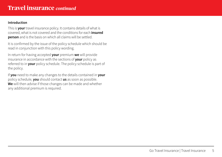### **Introduction**

This is **your** travel insurance policy. It contains details of what is covered, what is not covered and the conditions for each **insured person** and is the basis on which all claims will be settled.

It is confirmed by the issue of the policy schedule which should be read in conjunction with this policy wording.

In return for having accepted **your** premium **we** will provide insurance in accordance with the sections of **your** policy as referred to in **your** policy schedule. The policy schedule is part of the policy.

If **you** need to make any changes to the details contained in **your** policy schedule, **you** should contact **us** as soon as possible. **We** will then advise if those changes can be made and whether any additional premium is required.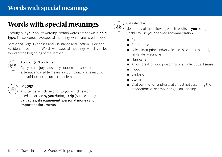## <span id="page-5-0"></span>**Words with special meanings**

## **Words with special meanings**

Throughout **your** policy wording, certain words are shown in **bold type**. These words have special meanings which are listed below.

Section 5a Legal Expenses and Assistance and Section 6 Personal Accident have unique 'Words with special meanings' which can be found at the beginning of the section.

### **Accident(s)/Accidental**

 $\begin{pmatrix} \overline{\mathbf{Q}} & \overline{\mathbf{Q}} \\ \overline{\mathbf{Q}} & \overline{\mathbf{Q}} \end{pmatrix}$  A physical injury caused by sudden, unexpected, external and visible means including injury as a result of unavoidable exposure to the elements.

### **Baggage**

**Fight** ) Any item(s) which belongs to **you** which is worn, used or carried by **you** during a **trip** (but excluding **valuables**, **ski equipment, personal money** and **important documents**).



#### **Catastrophe**

**M**<sub>2</sub>) Means any of the following which results in **you** being unable to use **your** booked accommodation:

- Fire
- Earthquake
- Volcanic eruption and/or volcanic ash clouds, tsunami, landslide, avalanche
- Hurricane
- An outbreak of food poisoning or an infectious disease
- Flood
- Explosion
- Storm
- Civil commotion and/or civil unrest not assuming the proportions of or amounting to an uprising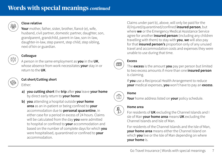## **Words with special meanings** *continued*



### **Close relative**

 **Your** mother, father, sister, brother, fiancé (e), wife, husband, civil partner, domestic partner, daughter, son, grandparent, grandchild, parent-in-law, son-in-law, daughter-in-law, step parent, step child, step sibling, next of kin or guardian.

### **Colleague**

 A person in the same employment as **you** in the **UK**, whose absence from work necessitates **your** stay in or return to the **UK**.

### **Cut short/Cutting short**

Either:

- 
- **a) you cutting short** the **trip** after **you** leave **your home** by direct early return to **your home**
- **b) you** attending a hospital outside **your home area** as an in-patient or being confined to **your** accommodation due to **personal quarantine**, in either case for a period in excess of 24 hours. Claims will be calculated from the day **you** were admitted to hospital or confined to **your** accommodation and based on the number of complete days for which **you** were hospitalised, quarantined or confined to **your** accommodation.

 Claims under part b), above, will only be paid for the ill/injured/quarantined/confined **insured person**, but where **we** or the Emergency Medical Assistance Service agree for another **insured person** (including any children travelling with them) to stay with **you**, **we** will also pay for that **insured person's** proportion only of any unused travel and accommodation costs and expenses they were unable to use during that time.



### **Excess**

The **excess** is the amount **you** pay per person but limited to two excess amounts if more than one **insured person** is claiming.

> If **you** use a Reciprocal Health Arrangement to reduce **your** medical expenses, **you** won't have to pay an **excess**.



### **Home**

 **Your** home address listed on **your** policy schedule.

### **Home area**

For residents of **UK** excluding the Channel Islands and I sle of Man **your home area** means **UK** excluding the Channel Islands and Isle of Man.

> For residents of the Channel Islands and the Isle of Man, **your home area** means either the Channel Island on which **you** live or the Isle of Man depending on where **your home** is.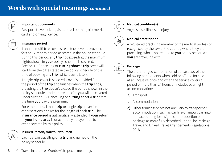

### **Important documents**

 Passport, travel tickets, visas, travel permits, bio-metric card and driving licence.



### **Insurance period**

 If annual multi **trip** cover is selected: cover is provided for the 12-month period as stated in the policy schedule. During this period, any **trip** not exceeding the maximum nights shown in **your** policy schedule is covered.

Section 1 – Cancelling or **cutting short** a **trip** cover will start from the date stated in the policy schedule or the time of booking any **trip** (whichever is later).

 If single **trip** cover is selected: cover is provided for the period of the **trip** and finishes when the **trip** ends, providing the **trip** doesn't exceed the period shown in the policy schedule. Under these policies **you** will be covered under Section 1 – Cancelling or **cutting short** a **trip** from the time **you** pay the premium.

For either annual multi **trip** or single **trip**: cover for all other sections applies for the length of each **trip**. The **insurance period** is automatically extended if **your** return to **your home area** is unavoidably delayed due to an event covered by this policy.

### **Insured Person/You/Your/Yourself**

 Each person travelling on a **trip** and named on the policy schedule.



### **Medical condition(s)**

Any disease, illness or injury.



### **Medical practitioner**

 $\begin{pmatrix} \mathbb{S}^n \\ \mathbb{S}^n \end{pmatrix}$  Medical practitioner<br>A registered practising member of the medical profession recognised by the law of the country where they are practising, who is not related to **you** or any person who **you** are travelling with.



### **Package**

 The pre-arranged combination of at least two of the following components when sold or offered for sale at an inclusive price and when the service covers a period of more than 24 hours or includes overnight accommodation:

- **a)** Transport
- **b)** Accommodation
- **c)** Other tourist services not ancillary to transport or accommodation (such as car hire or airport parking) and accounting for a significant proportion of the package as more fully described under The Package Travel and Linked Travel Arrangements Regulations 2018.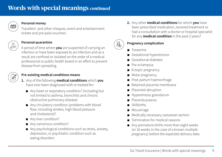

### **Personal money**

Travellers' and other cheques, event and entertainment tickets and pre-paid vouchers.



### **Personal quarantine**

 A period of time where **you** are suspected of carrying an infection or have been exposed to an infection and as a result are confined or isolated on the order of a medical professional or public health board in an effort to prevent disease from spreading.

### **Pre-existing medical conditions means**

- **1.** Any of the following **medical conditions** which **you**  have ever been diagnosed with or treated for:
	- Any heart or respiratory condition? (including but not limited to asthma, bronchitis and chronic obstructive pulmonary disease)
	- Any circulatory condition (problems with blood flow, including strokes, high blood pressure and cholesterol)?
	- Any liver condition?
	- Any cancerous condition?
	- Any psychological conditions such as stress, anxiety, depression, or psychiatric condition such as eating disorders

 **2.** Any other **medical conditions** for which **you** have been prescribed medication, received treatment or had a consultation with a doctor or hospital specialist for any **medical condition** in the past 2 years?

## &

### **Pregnancy complication**

- Toxaemia
- Gestational hypertension
- Gestational diabetes
- Pre-eclampsia
- Ectopic pregnancy
- Molar pregnancy
- Post-partum haemorrhage
- Retained placenta membrane
- Placental abruption
- Hyperemesis gravidarum
- Placenta praevia
- Stillbirths
- Miscarriage
- Medically necessary caesarean section
- Termination for medical reasons
- Any premature births more than eight weeks (or 16 weeks in the case of a known multiple pregnancy) before the expected delivery date.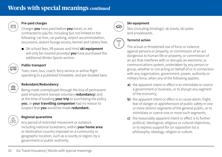## **Words with special meanings** *continued*



### **Pre-paid charges**

Charges **you** have paid before **you** travel, or are contracted to pay for, including but not limited to the following: car hire, car parking, airport accommodation, excursions, airport lounge access, kennel and cattery fees.

> ■ Ski school fees, lift passes and hired **ski equipment** will only be covered provided **you** have purchased the additional Winter Sports section.

#### **Public transport**

 Train, tram, bus, coach, ferry service or airline flight operating to a published timetable, and pre-booked taxis.

### **Redundant/Redundancy**

 $\boxed{\text{min}}$  ) Being made unemployed through the loss of permanent paid employment (except voluntary **redundancy**) and at the time of booking **your trip** or purchasing the policy **you**, or **your travelling companion** had no reason to suspect that **you** would be made **redundant.**

### **Regional quarantine**

 Any period of restricted movement or isolation, including national lockdowns, within **your home area** or destination country imposed on a community or geographic location, such as a county or region, by a government or public authority.



### **Ski equipment**

 Skis (including bindings), ski boots, ski poles and snowboards.



### **Terrorist action**

 The actual or threatened use of force or violence against persons or property, or commission of an act dangerous to human life or property, or commission of an act that interferes with or disrupts an electronic or communications system, undertaken by any person or group, whether or not acting on behalf of or in connection with any organisation, government, power, authority or military force, when any of the following applies:

- **a)** the apparent intent or effect is to intimidate or coerce a government or business, or to disrupt any segment of the economy;
- **b)** the apparent intent or effect is to cause alarm, fright, fear of danger or apprehension of public safety in one or more distinct segments of the general public, or to intimidate or coerce one or more such segments;
- **c)** the reasonably apparent intent or effect is to further political, ideological, religious or cultural objectives, or to express support for (or opposition to) a philosophy, ideology, religion or culture.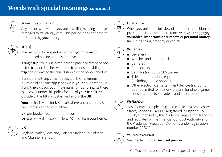

### **Travelling companion**

 Any person with whom **you** are travelling/staying or have arranged to travel/stay with. This person does not have to be insured by **your** policy.

### **Trip(s)**

 The period of time spent away from **your home** on pre-booked business or leisure travel.

> If single **trip** cover is selected: cover is provided for the period of the **trip** and finishes when the **trip** ends, providing the **trip** doesn't exceed the period shown in the policy schedule.

> If annual multi trip cover is selected: the maximum duration of any one **trip** is shown in **your** policy schedule. If any **trip** exceeds **your** maximum number of nights there is no cover under this policy for any of **your trip**. **Trips** outside of the **UK** must start and end in the **UK**.

 **Your** policy is valid for **UK** travel where you have at least two nights planned with either:

- **a)** pre-booked accommodation or
- **b)** pre-booked transport at least 50 miles from **your home**.

## **UK**

 England, Wales, Scotland, Northern Ireland, Isle of Man and Channel Islands.



### **Unattended**

When **you** are not in full view of and not in a position to prevent unauthorised interference with **your baggage, valuables, important documents** or **personal money** (including cash), property or vehicle.



- Jewellery
- Watches and fitness trackers
- Cameras
- Camcorders
- Sat navs (including GPS trackers)
- Telecommunications equipment (including mobile phones)
- Other electronic entertainment devices (including but not limited to mp3 or 4 players, handheld games consoles, tablets, e-readers, and headphones).

### **We/Us/Our**

 AXA Insurance UK plc, (Registered Office) 20 Gracechurch Street, London EC3V 0BG. Registered in England No. 78950, authorised by the Prudential Regulation Authority and regulated by the Financial Conduct Authority and the Prudential Regulation Authority under registration number 202312.

### **You/Your/Yourself**

See the definition of **insured person**.

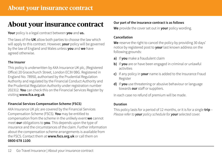## <span id="page-11-0"></span>**About your insurance contract**

### **Your** policy is a legal contract between **you** and **us.**

The laws of the **UK** allow both parties to choose the law which will apply to this contract. However, **your** policy will be governed by the law of England and Wales unless **you** and **we** have agreed otherwise.

#### **The Insurer**

This policy is underwritten by AXA Insurance UK plc, (Registered Office) 20 Gracechurch Street, London EC3V 0BG. Registered in England No. 78950, authorised by the Prudential Regulation Authority and regulated by the Financial Conduct Authority and the Prudential Regulation Authority under registration number 202312. **You** can check this on the Financial Services Register by visiting **[www.fca.org.uk](http://www.fca.org.uk)**

### **Financial Services Compensation Scheme (FSCS)**

AXA Insurance UK plc are covered by the Financial Services Compensation Scheme (FSCS). **You** may be entitled to compensation from the scheme in the unlikely event **we** cannot meet **our** obligations to **you**. This depends upon the type of insurance and the circumstances of the claim. Further information about the compensation scheme arrangements is available from the FSCS. Contact them at **[www.fscs.org.uk](http://www.fscs.org.uk)** or call them on **0800 678 1100**.

### **Our part of the insurance contract is as follows**

**We** provide the cover set out in **your** policy wording.

### **Cancellation**

We reserve the right to cancel the policy by providing 30 days' notice by registered post to **your** last known address on the following grounds:

- **a)** If **you** make a fraudulent claim
- **b)** If **you** are or have been engaged in criminal or unlawful activities
- **c)** If any policy in **your** name is added to the Insurance Fraud Register
- **d)** If **you** use threatening or abusive behaviour or language towards **our** staff or suppliers.

In each case no refund of premium will be made.

### **Duration**

This policy lasts for a period of 12 months, or it is for a single **trip** – *Please refer to your policy schedule for your selected cover.*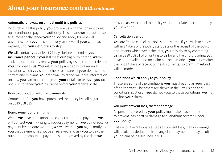### **Automatic renewals on annual multi trip policies**

By purchasing this policy, **you** provide us with the consent to set up a continuous payment authority. This means **we** are authorised to automatically renew **your** policy and apply for renewal payments from **your** account every year, even if **your** card has expired, until **you** instruct **us** to stop.

**We** will contact **you** at least 21 days before the end of **your insurance period**. If **you** still meet **our** eligibility criteria, **we** will seek to automatically renew **your** policy by using the latest details **you** provided to **us**. **You** will also be provided with a renewal invitation which **you** should check to ensure all **your** details are still correct and relevant. **Your** renewal invitation will have information on how **you** can make changes to **your** details or tell **us** if **you** do not wish to renew **your** insurance before **your** renewal date.

### **How to opt-out of automatic renewals**

Contact us after **you** have purchased the policy by calling **us**  on 0330 058 3154.

### **Non-payment of premiums**

Where **we** have been unable to collect a premium payment, **we**  will contact **you** in writing to request payment. If **we** do not receive payment by the date we state, **we** will write to **you** again notifying **you** that payment has not been received and ask **you** to pay the outstanding amount. If payment is not received by the date **we** 

provide **we** will cancel the policy with immediate effect and notify **you** in writing.

### **Cancellation period**

**You** are free to cancel this policy at any time. If **you** wish to cancel within 14 days of the policy start date or the receipt of the policy documents whichever is the later, **you** may do so by contacting **us** on 0330 058 3154 or writing to **us** for a full refund providing **you** have not travelled and no claim has been made. If **you** cancel after the first 14 days of receipt of the documents, no premium refund will be made.

### **Conditions which apply to your policy**

These are some of the conditions **you** must keep to as **your** part of the contract. The others are shown in the 'Exclusions and conditions' section. If **you** do not keep to these conditions, **we** may decline **your** claim.

### **You must prevent loss, theft or damage**

All persons covered by **your** policy must take reasonable steps to prevent loss, theft or damage to everything covered under **your** policy.

Failure to take reasonable steps to prevent loss, theft or damage will result in a deduction from any claim payment, or may result in **your** claim being declined in full.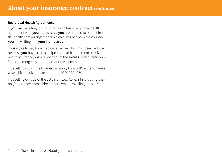### **Reciprocal Health Agreements**

If **you** are travelling to a country which has a reciprocal health agreement with **your home area you** are entitled to benefit from the health care arrangements which exists between the country **you** are visiting and **your home area**.

If **we** agree to pay for a medical expense which has been reduced because **you** have used a reciprocal health agreement or private health insurance, **we** will not deduct the **excess** under Section 2 – Medical emergency and repatriation expenses.

If travelling within the EU **you** can apply for a GHIC either online at [www.ghic.org.uk](http://www.ghic.org.uk) or by telephoning 0300 330 1350.

If travelling outside of the EU visit [https://www.nhs.uk/using-the](https://www.nhs.uk/using-the-nhs/healthcare-abroad/healthcare-when-travelling-abroad/)[nhs/healthcare-abroad/healthcare-when-travelling-abroad/](https://www.nhs.uk/using-the-nhs/healthcare-abroad/healthcare-when-travelling-abroad/)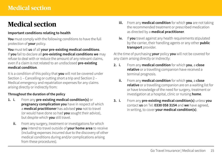## <span id="page-14-0"></span>**Medical section**

### **Important conditions relating to health**

**You** must comply with the following conditions to have the full protection of **your** policy.

**You** must tell **us** of all **your pre-existing medical conditions**. If **you** fail to declare all **pre-existing medical conditions we** may refuse to deal with or reduce the amount of any relevant claims, even if a claim is not related to an undisclosed **pre-existing medical condition**.

It is a condition of this policy that **you** will not be covered under Section 1 – Cancelling or cutting short a trip and Section 2 – Medical emergency and repatriation expenses for any claims arising directly or indirectly from:

### **Throughout the duration of the policy**

- **1. i.** From any **pre-existing medical condition(s)** or **pregnancy complication you** have in respect of which a **medical practitioner** has advised **you** not to travel (or would have done so had **you** sought their advice), but despite which **you** still travel.
	- **ii.** From any surgery, treatment or investigations for which **you** intend to travel outside of **your home area** to receive (including expenses incurred due to the discovery of other medical conditions during and/or complications arising from these procedures).
- **iii.** From any **medical condition** for which **you** are not taking the recommended treatment or prescribed medication as directed by a **medical practitioner**.
- **iv.** If **you** travel against any health requirements stipulated by the carrier, their handling agents or any other **public transport** provider.

At the time of purchasing **your** policy **you** will not be covered for any claim arising directly or indirectly:

- **2. i.** From any **medical condition** for which **you**, a **close relative** or a travelling companion have received a terminal prognosis.
	- **ii.** From any **medical condition** for which **you**, a **close relative** or a travelling companion are on a waiting list for or have knowledge of the need for surgery, treatment or investigation at a hospital, clinic or nursing **home**.
- **3. i.** From any **pre-existing medical condition(s)** unless **you**  contact **us** on Tel: **0330 058 3154** and **we** have agreed, in writing, to cover **your medical condition(s)**.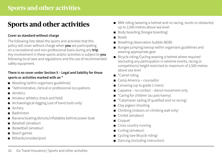## <span id="page-15-0"></span>**Sports and other activities**

### **Cover as standard without charge**

The following lists detail the sports and activities that this policy will cover without charge when **you** are participating on a recreational and non-professional basis during any **trip**. Any involvement in these sports and/or activities is subject to **you** following local laws and regulations and the use of recommended safety equipment.

### **There is no cover under Section 5 – Legal and liability for those sports or activities marked with an \***

- Abseiling (within organisers guidelines)
- \*Administrative, clerical or professional occupations
- Aerobics
- Amateur athletics (track and field)
- Archaeological digging (use of hand tools only)
- Archery
- Badminton
- Banana boating/donuts/inflatables behind power boat
- Baseball (amateur)
- Basketball (amateur)
- Beach games
- Billiards/snooker/pool
- BMX riding (wearing a helmet and no racing, stunts or obstacles) up to 2,500 metres above sea level
- Body boarding (boogie boarding)
- Bowls
- Breathing observation bubble (BOB)
- Bungee jumping/swoop within organisers guidelines and wearing appropriate gear
- Bicycle riding/Cycling wearing a helmet where required (excluding any participation in extreme events, racing or competitions) height restricted to maximum of 2,500 metres above sea level
- \*Camel riding
- Camp America counsellor
- Canoeing (up to grade 2 rivers)
- Capoeira no contact dance movement only
- \*Caring for children (au pair/nanny)
- \*Catamaran sailing (if qualified and no racing)
- Clay pigeon shooting
- Climbing (indoors on climbing wall only)
- Cricket (amateur)
- Croquet
- Cross country running
- Curling (amateur)
- Cycling (see Bicycle riding)
- Dancing (including instruction)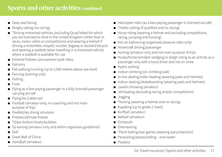## **Sports and other activities** *continued*

- Deep sea fishing
- Dinghy sailing (no racing)
- \*Driving motorised vehicles (excluding Quad bikes) for which you are licensed to drive in the United Kingdom (other than in races, motor rallies or competitions) and wearing a helmet if driving a motorbike, moped, scooter, Segway or assisted bicycle and wearing a seatbelt when travelling in a motorised vehicle where a seatbelt is available for use
- Extreme frisbees (amusement park rides)
- Falconry
- Fell walking/running (up to 2,500 metres above sea level)
- Fencing (training only)
- Fishing
- Fives
- Flying as a fare paying passenger in a fully licensed passenger carrying aircraft
- Flying fox (cable car)
- Football (amateur only, no coaching and not main purpose of trip)
- Freefall/sky diving simulator
- Frisbee/ultimate frisbee
- \*Glass bottom boats/bubbles
- Go karting (amateur only and within organisers guidelines)
- Golf
- Great Wall of China
- Handball (amateur)
- Helicopter rides (as a fare paying passenger in licensed aircraft)
- \*Hobie catting (if qualified and no racing)
- Horse riding (wearing a helmet and excluding competitions, racing, jumping and hunting)
- Hot air ballooning (organised pleasure rides only)
- Hovercraft driving/passenger
- Hurling (amateur only and not main purpose of trip)
- Husky/horse/reindeer sledging or sleigh riding as an activity as a passenger only with a local driver and not on snow
- Hydro zorbing
- Indoor climbing (on climbing wall)
- In-line skating/roller blading (wearing pads and helmets)
- Indoor skating/skateboarding (wearing pads and helmets)
- Javelin throwing (amateur)
- Jet boating (excluding racing and/or competitions)
- Jogging
- \*Karting (wearing a helmet and no racing)
- Kayaking (up to grade 2 rivers)
- Korfball (amateur)
- Netball (amateur)
- Octopush
- Orienteering
- \*Paint balling/war games (wearing eye protection)
- Parasailing/parascending over water
- Pedalos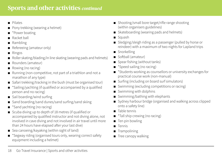## **Sports and other activities** *continued*

- Pilates
- Pony trekking (wearing a helmet)
- \*Power boating
- Racket hall
- Rambling
- Refereeing (amateur only)
- Ringos
- Roller skating/blading/in line skating (wearing pads and helmets)
- Rounders (amateur)
- Rowing (no racing)
- Running (non-competitive, not part of a triathlon and not a marathon of any type)
- Safari trekking/tracking in the bush (must be organised tour)
- \*Sailing/yachting (if qualified or accompanied by a qualified person and no racing)
- Sail boarding/wind surfing
- Sand boarding/sand dunes/sand surfing/sand skiing
- \*Sand yachting (no racing)
- Scuba diving up to depth of 18 metres (if qualified or accompanied by qualified instructor and not diving alone, not involved in cave diving and not involved in air travel until more than 24 hours have elapsed after your last dive)
- Sea canoeing/kayaking (within sight of land)
- \*Segway riding (organised tours only, wearing correct safety equipment including a helmet)
- Shooting/small bore target/rifle range shooting (within organisers guidelines)
- Skateboarding (wearing pads and helmets)
- Squash
- Sledging/sleigh riding as a passenger (pulled by horse or reindeer) with a maximum of two nights for Lapland trips
- Snorkelling
- Softball (amateur)
- Spear fishing (without tanks)
- \*Speed sailing (no racing)
- \*Students working as counsellors or university exchanges for practical course work (non-manual)
- Surfing (including on board surf simulators)
- Swimming (excluding competitions or racing)
- Swimming with dolphins
- Swimming/bathing with elephants
- Sydney harbour bridge (organised and walking across clipped onto a safety line)
- Table tennis
- \*Tall ship crewing (no racing)
- Ten pin bowling
- Tennis
- Trampolining
- Tree canopy walking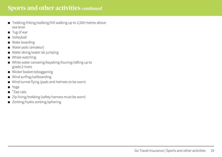## **Sports and other activities** *continued*

- Trekking/hiking/walking/hill walking up to 2,500 metres above sea level
- Tug of war
- Volleyball
- Wake boarding
- Water polo (amateur)
- Water skiing/water ski jumping
- Whale watching
- White water canoeing/kayaking/touring/rafting up to grade 2 rivers
- Wicker basket tobogganing
- Wind surfing/sailboarding
- Wind tunnel flying (pads and helmets to be worn)
- Yoga
- \*Zap cats
- Zip lining/trekking (safety harness must be worn)
- Zorbing/hydro zorbing/sphering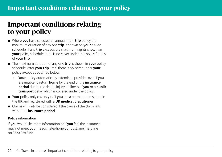## <span id="page-19-0"></span>**Important conditions relating to your policy**

- Where **you** have selected an annual multi **trip** policy the maximum duration of any one **trip** is shown on **your** policy schedule. If any **trip** exceeds the maximum nights shown on **your** policy schedule there is no cover under this policy for any of **your trip**.
- The maximum duration of any one **trip** is shown in **your** policy schedule. After **your trip** limit, there is no cover under **your** policy except as outlined below.
	- **• Your** policy automatically extends to provide cover if **you**  are unable to return **home** by the end of the **insurance period** due to the death, injury or illness of **you** or a **public transport** delay which is covered under the policy.
- **Your** policy only covers **you** if **you** are a permanent resident in the **UK** and registered with a **UK medical practitioner**.
- Claims will only be considered if the cause of the claim falls within the **insurance period**.

### **Policy information**

If **you** would like more information or if **you** feel the insurance may not meet **your** needs, telephone **our** customer helpline on 0330 058 3154.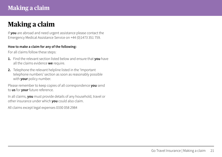## <span id="page-20-0"></span>**Making a claim**

If **you** are abroad and need urgent assistance please contact the Emergency Medical Assistance Service on +44 (0)1473 351 759.

#### **How to make a claim for any of the following:**

For all claims follow these steps:

- **1.** Find the relevant section listed below and ensure that **you** have all the claims evidence **we** require.
- **2.** Telephone the relevant helpline listed in the 'Important telephone numbers' section as soon as reasonably possible with **your** policy number.

Please remember to keep copies of all correspondence **you** send to **us** for **your** future reference.

In all claims, **you** must provide details of any household, travel or other insurance under which **you** could also claim.

All claims except legal expenses 0330 058 2984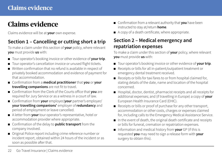## <span id="page-21-0"></span>**Claims evidence**

Claims evidence will be at **your** own expense.

## **Section 1 – Cancelling or cutting short a trip**

To make a claim under this section of **your** policy, where relevant **you** must provide **us** with:

- Tour operator's booking invoice or other evidence of **your trip**.
- Tour operator's cancellation invoice or unused flight tickets.
- Written confirmation that no refund is available in respect of privately booked accommodation and evidence of payment for that accommodation.
- Confirmation from a **medical practitioner** that **you** or **your travelling companions** are not fit to travel.
- Confirmation from the Clerk of the Courts office that **you** are required for Jury Service or as a witness in a court of law.
- Confirmation from **your** employer/**your** partner's employer/ **your travelling companions'** employer of **redundancy** and period of employment or leave cancelled.
- A letter from **your** tour operator's representative, hotel or accommodation provider where appropriate.
- Confirmation of the delay to **public transport** from the company involved.
- Original Police report including crime reference number or incident report, obtained within 24 hours of the incident or as soon as possible after that.
- Confirmation from a relevant authority that **you** have been instructed to stay at/return **home**.
- A copy of a death certificate, where appropriate.

### **Section 2 – Medical emergency and repatriation expenses**

To make a claim under this section of **your** policy, where relevant **you** must provide **us** with:

- Tour operator's booking invoice or other evidence of **your trip**.
- Receipts or bills for all in-patient/outpatient treatment or emergency dental treatment received.
- Receipts or bills for taxi fares to or from hospital claimed for, stating details of the date, name and location of the hospital concerned.
- Hospital, doctor, dentist, pharmacist receipts and all receipts for additional expenses; and (if travelling in Europe) a copy of **your**  European Health Insurance Card (EHIC).
- Receipts or bills or proof of purchase for any other transport, accommodation or other costs, charges or expenses claimed for, including calls to the Emergency Medical Assistance Service.
- In the event of death, the original death certificate and receipts or bills for funeral, cremation or repatriation expenses.
- Information and medical history from **your** GP (if this is requested **you** may need to sign a release form with **your**  surgery to obtain this).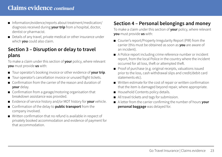## **Claims evidence** *continued*

- Information/evidence/reports about treatment/medication/ diagnosis received during **your trip** from a hospital, doctor, dentist or pharmacist.
- Details of any travel, private medical or other insurance under which **you** could also claim.

### **Section 3 – Disruption or delay to travel plans**

To make a claim under this section of **your** policy, where relevant **you** must provide **us** with:

- Tour operator's booking invoice or other evidence of **your trip**.
- Tour operator's cancellation invoice or unused flight tickets.
- Confirmation from the carrier of the reason and duration of **your** delay.
- Confirmation from a garage/motoring organisation that breakdown assistance was provided.
- Evidence of service history and/or MOT history for **your** vehicle.
- Confirmation of the delay to **public transport** from the company involved.
- Written confirmation that no refund is available in respect of privately booked accommodation and evidence of payment for that accommodation.

## **Section 4 – Personal belongings and money**

To make a claim under this section of **your** policy, where relevant **you** must provide **us** with:

- Courier's report/Property Irregularity Report (PIR) from the carrier (this must be obtained as soon as **you** are aware of an incident).
- A Police report including crime reference number or incident report, from the local Police in the country where the incident occurred for all loss, theft or attempted theft.
- Proof of purchase (e.g. original receipts, valuations issued prior to the loss, cash withdrawal slips and credit/debit card statements etc).
- Written estimate for the cost of repair or written confirmation that the item is damaged beyond repair, where appropriate.
- Household Contents policy details.
- All travel tickets and tags for submission.
- A letter from the carrier confirming the number of hours **your personal baggage** was delayed for.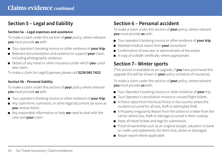## **Claims evidence** *continued*

## **Section 5 – Legal and liability**

### **Section 5a – Legal expenses and assistance**

To make a claim under this section of **your** policy, where relevant **you** must provide **us** with:

- Tour operator's booking invoice or other evidence of **your trip**.
- Relevant documentation and evidence to support **your** claim, including photographic evidence.
- Details of any travel or other insurance under which **you** could also claim.

To make a claim for Legal Expenses please call **0238 085 7423**

### **Section 5b – Personal liability**

To make a claim under this section of **your** policy where relevant **you** must provide **us** with:

- Tour operator's booking invoice or other evidence of **your trip**.
- Any claim form, summons, or other legal document (as soon as **you** receive them).
- Any reasonable information or help **we** need to deal with the case and **your** claim.

## **Section 6 – Personal accident**

To make a claim under this section of **your** policy, where relevant **you** must provide **us** with:

- Tour operator's booking invoice or other evidence of **your trip**.
- Detailed medical report from **your** consultant.
- Confirmation of executor or administrator of the estate.
- A copy of a death certificate, where appropriate.

### **Section 7– Winter sports**

(This section is available as an upgrade, if **you** have purchased this upgrade this will be shown in **your** policy schedule of insurance).

To make a claim under this section of **your** policy, where relevant **you** must provide **us** with:

- Tour Operator's booking invoice or other evidence of **your** trip.
- Tour Operator's cancellation invoice or unused flight tickets.
- A Police report from the local Police in the country where the incident occurred for all loss, theft or attempted theft.
- A Property Irregularity Report from the airline or a letter from the carrier where loss, theft or damage occurred in their custody.
- Keep all travel tickets and tags for submission.
- Proof of ownership such as an original receipt, valuation or bank or credit card statements, for items lost, stolen or damaged.
- Repair report where applicable.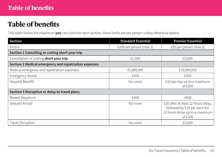## <span id="page-24-0"></span>**Table of benefits**

This table shows the maximum **you** can claim for each section, these limits are per person unless otherwise stated.

| Section                                               | <b>Standard Essential</b> | <b>Premier Essential</b>                                                                                           |  |
|-------------------------------------------------------|---------------------------|--------------------------------------------------------------------------------------------------------------------|--|
| <b>Excess</b>                                         | £200 per person (max 2)   | £95 per person (max 2)                                                                                             |  |
| Section 1 Cancelling or cutting short your trip       |                           |                                                                                                                    |  |
| Cancellation or cutting short your trip               | £1,000                    | £3,000                                                                                                             |  |
| Section 2 Medical emergency and repatriation expenses |                           |                                                                                                                    |  |
| Medical emergency and repatriation expenses           | £5,000,000                | £10,000,000                                                                                                        |  |
| Emergency dental                                      | £200                      | £300                                                                                                               |  |
| Hospital Benefit <sup>t</sup>                         | No cover                  | £10 per day up to a maximum<br>of $£200$                                                                           |  |
| Section 3 Disruption or delay to travel plans         |                           |                                                                                                                    |  |
| Missed Departure                                      | £300                      | £500                                                                                                               |  |
| Delayed Arrival <sup>t</sup>                          | No cover                  | £20 after at least 12 hours delay,<br>followed by £10 per each full<br>12 hours delay up to a maximum<br>of $£100$ |  |
| Travel Disruption                                     | No cover                  | £3,000                                                                                                             |  |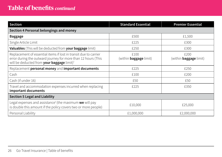## **Table of benefits** *continued*

| Section                                                                                                                                                                                     | <b>Standard Essential</b>             | <b>Premier Essential</b>              |
|---------------------------------------------------------------------------------------------------------------------------------------------------------------------------------------------|---------------------------------------|---------------------------------------|
| Section 4 Personal belongings and money                                                                                                                                                     |                                       |                                       |
| <b>Baggage</b>                                                                                                                                                                              | £500                                  | £1,500                                |
| Single Article Limit                                                                                                                                                                        | £225                                  | £300                                  |
| Valuables (This will be deducted from your baggage limit)                                                                                                                                   | £250                                  | £300                                  |
| Replacement of essential items if lost in transit due to carrier<br>error during the outward journey for more than 12 hours (This<br>will be deducted from your baggage limit) <sup>t</sup> | £100<br>(within <b>baggage</b> limit) | £200<br>(within <b>baggage</b> limit) |
| Replacement personal money and important documents                                                                                                                                          | £225                                  | £250                                  |
| Cash                                                                                                                                                                                        | £100                                  | £200                                  |
| Cash (if under 16)                                                                                                                                                                          | £50                                   | £50                                   |
| Travel and accommodation expenses incurred when replacing<br>important documents                                                                                                            | £225                                  | £350                                  |
| <b>Section 5 Legal and Liability</b>                                                                                                                                                        |                                       |                                       |
| Legal expenses and assistance <sup>†</sup> (the maximum <b>we</b> will pay<br>is double this amount if the policy covers two or more people)                                                | £10,000                               | £25,000                               |
| Personal Liability                                                                                                                                                                          | £1,000,000                            | £2,000,000                            |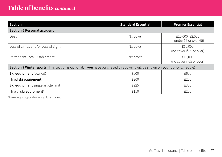## **Table of benefits** *continued*

| <b>Section</b>                                                                                                                | <b>Standard Essential</b> | <b>Premier Essential</b>                   |
|-------------------------------------------------------------------------------------------------------------------------------|---------------------------|--------------------------------------------|
| <b>Section 6 Personal accident</b>                                                                                            |                           |                                            |
| Death <sup>†</sup>                                                                                                            | No cover                  | £10,000 (£2,000<br>if under 16 or over 65) |
| Loss of Limbs and/or Loss of Sight <sup>†</sup>                                                                               | No cover                  | £10,000<br>(no cover if 65 or over)        |
| Permanent Total Disablement <sup>†</sup>                                                                                      | No cover                  | £10,000<br>(no cover if 65 or over)        |
| Section 7 Winter sports (This section is optional, if you have purchased this cover it will be shown on your policy schedule) |                           |                                            |
| Ski equipment (owned)                                                                                                         | £500                      | £600                                       |
| Hired ski equipment                                                                                                           | £200                      | £200                                       |
| Ski equipment single article limit                                                                                            | £225                      | £300                                       |
| Hire of ski equipment <sup>†</sup>                                                                                            | £150                      | £200                                       |

† No excess is applicable for sections marked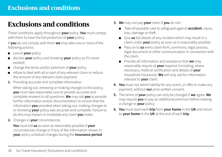## <span id="page-27-0"></span>**Exclusions and conditions**

These conditions apply throughout **your** policy. **You** must comply with them to have the full protection of **your** policy.

If **you** do not comply with them **we** may take one or more of the following actions:

- cancel **your** policy
- declare **your** policy void (treating **your** policy as if it never existed)
- change the terms and/or premium of **your** policy
- refuse to deal with all or part of any relevant claim or reduce the amount of any relevant claim payment.
- **1.** Providing accurate and complete information

When taking out, renewing or making changes to this policy, **you** must take reasonable care to provide accurate and complete answers to all questions. **We** may ask **you** to provide further information and/or documentation to ensure that the information **you** provided when taking out, making changes to or renewing **your** policy was accurate and complete. Failure to do this may impact or invalidate any claim **you** make.

**2.** Changes in **your** circumstances

**You** must tell **us** as soon as reasonably possible if **your** circumstances change or if any of the information shown in **your** policy schedule changes during the **insurance period**.

- **3. We** may not pay **your** claim if **you** do not:
	- Take all possible care to safeguard against **accident**, injury, loss, damage or theft.
	- Give **us** full details of any incident which may result in a claim under **your** policy as soon as is reasonably possible.
	- Pass on to **us** every claim form, summons, legal process, legal document or other communication in connection with the claim.
	- Provide all information and assistance that **we** may reasonably require at **your** expense (including, where necessary, medical certification and details of **your**  household insurance). **We** will only ask for information relevant to **your** claim.
- **4. You** must not admit liability for any event, or offer to make any payment, without **our** prior written consent.
- **5.** The terms of **your** policy can only be changed if **we** agree. **We**  may require **you** to pay an additional premium before making a change to **your** policy.
- **6. You** must start each **trip** from **your home** in the **UK** and return to **your home** in the **UK** at the end of each **trip**.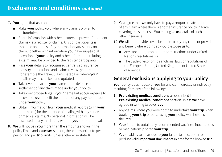- **7. You** agree that **we** can
	- Make **vour** policy void where any claim is proven to be fraudulent.
	- Share information with other insurers to prevent fraudulent claims via a register of claims. A list of participants is available on request. Any information **you** supply on a claim, together with information **you** have supplied at inception of **your** policy and other information relating to a claim, may be provided to the register participants.
	- Pass **your** details to recognised centralised insurance industry applications and claims review systems (for example the Travel Claims Database) where **your** details may be checked and updated.
	- Take over and act in **your** name in the defence or settlement of any claim made under **your** policy.
	- Take over proceedings in **your** name but at **our** expense to recover for **our** benefit the amount of any payment made under **your** policy.
	- Obtain information from **your** medical records (with **your** permission) for the purpose of dealing with any cancellation or medical claims. No personal information will be disclosed to any third party without **your** prior approval.
- **8. We** will not pay **you** more than the amounts shown in the policy limits and **excesses** section, these are subject to per person and per **trip** limits (unless otherwise stated).
- **9. You** agree that **we** only have to pay a proportionate amount of any claim where there is another insurance policy in force covering the same risk. **You** must give **us** details of such other insurance.
- **10.We** will not provide cover, be liable to pay any claim or provide any benefit where doing so would expose **us** to:
	- Any sanctions, prohibitions or restrictions under United Nations resolutions; or
	- The trade or economic sanctions, laws or regulations of the European Union, United Kingdom, or United States of America.

## **General exclusions applying to your policy**

**Your** policy does not cover **you** for any claim directly or indirectly resulting from any of the following:

- **1. Pre-existing medical conditions** as described in the **Pre-existing medical conditions** section unless **we** have agreed in writing to cover **you.**
- **2.** Any claims where **you** were not fit to undertake **your trip** when booking **your trip** or purchasing **your** policy whichever is the later.
- **3. Your** failure to obtain any recommended vaccines, inoculations or medications prior to **your trip**.
- **4. Your** inability to travel due to **your** failure to hold, obtain or produce valid **important documents** in time for the booked **trip**.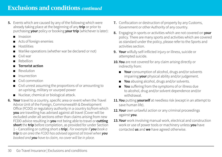- **5.** Events which are caused by any of the following which were already taking place at the beginning of any **trip** or prior to purchasing **your** policy or booking **your trip** (whichever is later):
	- **Invasion**
	- Acts of foreign enemies
	- **Hostilities**
	- Warlike operations (whether war be declared or not)
	- Civil war
	- Rebellion
	- **Terrorist action**
	- **Revolution**
	- **Insurrection**
	- Civil commotion
	- Civil unrest assuming the proportions of or amounting to an uprising, military or usurped power
	- Nuclear, chemical or biological attack.
- **6. Your** travel to a country, specific area or event when the Travel Advice Unit of the Foreign, Commonwealth & Development Office (FCDO) or regulatory authority in a country to/from which **you** are travelling has advised against all travel (Cover will be excluded under all sections other than claims arising from new FCDO advice resulting in **you** not being able to travel or **cutting short** the **trip** before completion, as provided for under Section 1 – Cancelling or cutting short a **trip**). *For example if you book a trip to an area the FCDO has advised against all travel when you booked and you have to claim, no cover will be in place.*
- **7.** Confiscation or destruction of property by any Customs, Government or other Authority of any country.
- **8.** Engaging in sports or activities which are not covered on **your** policy. There are many sports and activities which are covered as standard under the policy, please refer to the Sports and activities section.
- **9. Your** wilfully self-inflicted injury or illness, suicide or attempted suicide.
- **10.You** are not covered for any claim arising directly or indirectly from:
	- **Your** consumption of alcohol, drugs and/or solvents impairing **your** physical ability and/or judgement.
	- **You** abusing alcohol, drugs and/or solvents.
	- **You** suffering from the symptoms of or illness due to alcohol, drug and/or solvent dependence and/or withdrawal.
- **11.You** putting **yourself** at needless risk (except in an attempt to save human life).
- 12. Your own unlawful action or any criminal proceedings against **you**.
- **13.Your** work involving manual work, electrical and construction work or use of power tools or machinery unless **you** have contacted **us** and **we** have agreed otherwise.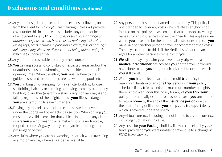- **14.**Any other loss, damage or additional expense following on from the event for which **you** are claiming, unless **we** provide cover under this insurance, this includes any claim for loss of enjoyment for any **trip**. *Examples of such loss, damage or additional expense would be the cost of replacing locks after losing keys, costs incurred in preparing a claim, loss of earnings following injury, illness or disease or not being able to enjoy the trip due to poor weather.*
- 15. Any amount recoverable from any other source.
- **16.You** gaining access to controlled or restricted areas and/or the unauthorised use of swimming pools outside of the specified opening times. When travelling, **you** must adhere to the guidelines issued for controlled areas, swimming pools etc.
- **17.You** climbing on or jumping from a vehicle, building, bridge, scaffolding, balcony or climbing or moving from any part of any building to another (apart from stairs, ramps or walkways) and falling, regardless of the height, unless **your** life is in danger or **you** are attempting to save human life.
- **18.**Driving any motorised vehicle unless it is listed as covered under the Sports and other activities section. When driving **you** must hold a valid licence for that vehicle. In addition any claim where **you** are not wearing a helmet whilst on a motorcycle, moped, scooter, Segway or bicycle, regardless if riding as a passenger or driver.
- **19.**Any claim where **you** are not wearing a seatbelt when travelling in a motor vehicle, where a seatbelt is available.
- **20.**Any person not insured or named on this policy. This policy is not intended to cover any costs which relate to anybody not insured on this policy; please ensure that all persons travelling have sufficient insurance to cover their needs. This applies even where **you** have paid for the additional costs for example, if **you** have paid for another person's travel or accommodation costs. The only exception to this is if the Medical Assistance team agree for another person to remain with **you**.
- **21.We** will not pay any claim **you** have for any **trip** where a **medical practitioner** has advised **you** not to travel (or would have done so had **you** sought their advice), but despite which **you** still travel.
- **22.** Where **you** have selected an annual multi **trip** policy the maximum duration of any one **trip** is shown in **your** policy schedule. If any **trip** exceeds the maximum number of nights there is no cover under this policy for any of **your trip**. **Your**  policy automatically extends to provide cover if **you** are unable to return **home** by the end of the **insurance period** due to the death, injury or illness of **you** or a **public transport** delay which is covered under the policy.
- **23.** Any virtual currency including but not limited to crypto-currency, including fluctuations in value.
- **24.** Any costs for **your Package** holiday if it was cancelled by **your** travel provider or **you** were unable to travel due to a change in FCDO travel advice.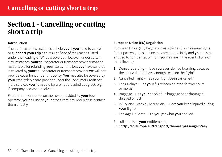## <span id="page-31-0"></span>**Section 1 – Cancelling or cutting short a trip**

#### **Introduction**

The purpose of this section is to help **you** if **you** need to cancel or **cut short your trip** as a result of one of the reasons listed under the heading of 'What is covered'. However, under certain circumstances, **your** tour operator or transport provider may be responsible for refunding **your** costs. If the loss **you** have suffered is covered by **your** tour operator or transport provider **we** will not provide cover for it under this policy. **You** may also be covered by **your** credit/debit card provider under the Consumer Credit Act if the services **you** have paid for are not provided as agreed e.g. if company becomes insolvent.

For further information on the cover provided by **your** tour operator, **your** airline or **your** credit card provider please contact them directly.

### **European Union (EU) Regulation**

European Union (EU) Regulation establishes the minimum rights for air passengers to ensure they are treated fairly and **you** may be entitled to compensation from **your** airline in the event of one of the following:

- **1.** Denied Boarding Have **you** been denied boarding because the airline did not have enough seats on the flight?
- **2.** Cancelled Flight Has **your** flight been cancelled?
- **3.** Long Delays Has **your** flight been delayed for two hours or more?
- **4.** Baggage Has **your** checked-in baggage been damaged, delayed or lost?
- **5.** Injury and Death by Accident(s) Have **you** been injured during **your** flight?
- **6.** Package Holidays Did **you** get what **you** booked?

#### For full details of **your** entitlements,

### visit **<http://ec.europa.eu/transport/themes/passengers/air/>**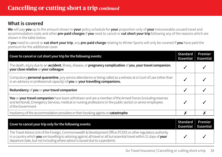### **What is covered**

**We** will pay **you** up to the amount shown in **your** policy schedule for **your** proportion only of **your** irrecoverable unused travel and accommodation costs and other **pre-paid charges** if **you** need to cancel or **cut short your trip** following any of the reasons which are shown in the table below.

If **you** need to cancel or **cut short your trip**, any **pre-paid charge** relating to Winter Sports will only be covered if **you** have paid the premium for the additional cover.

| Cover to cancel or cut short your trip for the following events:                                                                                                                                                                                   |                                     | Premier<br><b>Essential</b> |
|----------------------------------------------------------------------------------------------------------------------------------------------------------------------------------------------------------------------------------------------------|-------------------------------------|-----------------------------|
| The death, injury due to an accident, illness, disease, or pregnancy complication of you, your travel companion,<br>your close relative or your colleague                                                                                          |                                     |                             |
| Compulsory <b>personal quarantine</b> , jury service attendance or being called as a witness at a Court of Law (other than<br>in an advisory or professional capacity) of you or your travelling companions.                                       |                                     |                             |
| Redundancy of you or your travel companion                                                                                                                                                                                                         |                                     |                             |
| You or your travel companion have leave withdrawn and are a member of the Armed Forces (including reserves<br>and territorial), Emergency Services, medical or nursing professions (in the public sector) or senior employees<br>of the Government |                                     |                             |
| Insolvency of the accommodation providers or their booking agents or catastrophe                                                                                                                                                                   |                                     |                             |
| Cover to cancel your trip only for the following events:                                                                                                                                                                                           | <b>Standard</b><br><b>Essential</b> | Premier<br><b>Essential</b> |
| The Travel Advice Unit of the Foreign. Commonwealth & Development Office (FCDO) or other regulatory authority                                                                                                                                      |                                     |                             |

The Travel Advice Unit of the Foreign, Commonwealth & Development Office (FCDO) or other regulatory authority in a country which **you** are travelling to advising against all travel or all but essential travel within 21 days of **your** departure date, but not including where advice is issued due to a pandemic ✓ ✓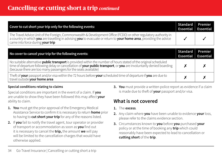## **Cancelling or cutting short a trip** *continued*

| Cover to cut short your trip only for the following events:                                                                                                                                                                                                                                                        |                                     | Premier<br><b>Essential</b> |
|--------------------------------------------------------------------------------------------------------------------------------------------------------------------------------------------------------------------------------------------------------------------------------------------------------------------|-------------------------------------|-----------------------------|
| The Travel Advice Unit of the Foreign, Commonwealth & Development Office (FCDO) or other regulatory authority in<br>a country in which you are travelling in advising you to evacuate or return to your home area, providing the advice<br>came into force during your trip                                        |                                     |                             |
| No cover to cancel your trip for the following events:                                                                                                                                                                                                                                                             | <b>Standard</b><br><b>Essential</b> | Premier<br><b>Essential</b> |
| No suitable alternative <i>public transport</i> is provided within the number of hours stated of the original scheduled<br>time of departure following delay or cancellation of your public transport, or you are involuntarily denied boarding<br>(because there are too many passengers for the seats available) |                                     |                             |
| Theft of your passport and/or visa within the 72 hours before your scheduled time of departure if you are due to<br>travel outside your home area                                                                                                                                                                  |                                     |                             |

### **Special conditions relating to claims**

Special conditions are important in the event of a claim. If **you** are unable to show they have been followed this may affect **your** ability to claim.

- **1. You** must get the prior approval of the Emergency Medical Assistance Service to confirm it is necessary to return **home** prior to having to **cut short yourtrip** for any of the reasons listed.
- **2.** If **you** fail to notify the travel agent, tour operator or provider of transport or accommodation as soon as **you** find out it is necessary to cancel the **trip,** the amount **we** will pay will be limited to the cancellation charges that would have otherwise applied.

**3. You** must provide a written police report as evidence if a claim is made due to theft of **your** passport and/or visa.

### **What is not covered**

- **1.** The **excess**.
- **2.** Any claim where **you** have been unable to evidence **your** loss, please refer to the claims evidence section.
- **3.** Circumstances known to **you** before **you** purchased **your** policy or at the time of booking any **trip** which could reasonably have been expected to lead to cancellation or **cutting short** of the **trip**.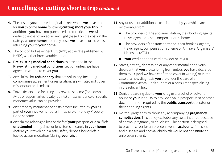## **Cancelling or cutting short a trip** *continued*

- **4.** The cost of **your** unused original tickets where **we** have paid for **you** to come **home** following **cutting short your trip.** In addition if **you** have not purchased a return ticket, **we** will deduct the cost of an economy flight (based on the cost on the date **you** come **home**) from any costs **we** have incurred whilst returning **you** to **your home**.
- **5.** The cost of Air Passenger Duty (APD) at the rate published by HMRC, whether irrecoverable or not.
- **6. Pre-existing medical conditions** as described in the **Pre-existing medical conditions** section unless **we** have agreed in writing to cover **you**.
- **7.** Any claims for **redundancy** that are voluntary, including compromise agreement or resignation. **We** will also not cover misconduct or dismissal.
- **8.** Travel tickets paid for using any reward scheme (for example Avios or supermarket loyalty points) unless evidence of specific monetary value can be provided.
- **9.** Any property maintenance costs or fees incurred by **you** as part of **your** involvement of a Timeshare or Holiday Property Bond scheme.
- **10.**Any claims relating to loss or theft of **your** passport or visa if left **unattended** at any time, unless stored securely in **your home**  (before **you** travel) or in a safe, safety deposit box or left in locked accommodation (during **your trip**).
- **11.**Any unused or additional costs incurred by **you** which are recoverable from:
	- The providers of the accommodation, their booking agents, travel agent or other compensation scheme.
	- The providers of the transportation, their booking agents, travel agent, compensation scheme or Air Travel Organisers' Licensing (ATOL).
	- **Your** credit or debit card provider or PayPal.
- **12.**Stress, anxiety, depression or any other mental or nervous disorder that **you** are suffering from unless **you** have declared them to **us** (and **we** have confirmed cover in writing) or in the case of a new diagnosis **you** are under the care of a Community Mental Health Team or a consultant specialising in the relevant field.
- **13.**Denied boarding due to **your** drug use, alcohol or solvent abuse or **your** inability to provide a valid passport, visa or other documentation required by the **public transport** operator or their handling agents.
- **14.**Normal pregnancy, without any accompanying **pregnancy complication**. This policy excludes any costs incurred because of normal pregnancy or childbirth. This section is designed to provide cover for unforeseen events, **accidents**, illnesses and diseases and normal childbirth would not constitute an unforeseen event.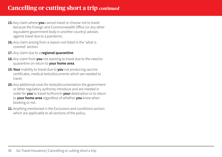## **Cancelling or cutting short a trip** *continued*

- **15.**Any claim where **you** cannot travel or choose not to travel because the Foreign and Commonwealth Office (or any other equivalent government body in another country) advises against travel due to a pandemic.
- **16.** Any claim arising from a reason not listed in the 'what is covered' section.
- **17.**Any claim due to a **regional quarantine**.
- **18.**Any claim from **you** not wanting to travel due to the need to quarantine on return to **your home area**.
- **19. Your** inability to travel due to **you** not producing vaccine certificates, medical tests/documents which are needed to travel.
- **20.** Any additional costs for tests/documentation the government or other regulatory authority introduce and are needed in order for **you** to travel to/from/in **your** destination or to return to **your home area** regardless of whether **you** knew when booking or not.
- **21.** Anything mentioned in the Exclusions and conditions section which are applicable to all sections of the policy.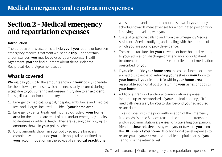## <span id="page-36-0"></span>**Section 2 – Medical emergency and repatriation expenses**

#### **Introduction**

The purpose of this section is to help **you** if **you** require unforeseen emergency medical treatment whilst on a **trip**. Under certain circumstances, **you** may be covered by a Reciprocal Health Agreement, **you** can find out more about these under the Reciprocal Health Agreement section.

### **What is covered**

**We** will pay **you** up to the amounts shown in **your** policy schedule for the following expenses which are necessarily incurred during a **trip** due to **you** suffering unforeseen injury due to an **accident**, illness, disease and/or compulsory quarantine:

- **1.** Emergency medical, surgical, hospital, ambulance and medical fees and charges incurred outside of **your home area**.
- **2.** Emergency dental treatment incurred outside of **your home area** for the immediate relief of pain and/or emergency repairs to dentures or artificial teeth if they are causing pain only up to amounts shown in **your** policy schedule.
- **3.** Up to amounts shown in **your** policy schedule for every complete 24 hour period **you** are in hospital or confined to **your** accommodation on the advice of a **medical practitioner**

whilst abroad, and up to the amounts shown in **your** policy schedule towards meal expenses for a nominated person who is staying or travelling with **you**.

- **4.** Costs of telephone calls to and from the Emergency Medical Assistance Service notifying and dealing with the problem of which **you** are able to provide evidence.
- **5.** The cost of taxi fares for **your** travel to or from hospital relating to **your** admission, discharge or attendance for outpatient treatment or appointments and/or for collection of medication prescribed for **you**.
- **6.** If **you** die outside **your home area** the cost of funeral expenses abroad plus the cost of returning **your** ashes or **your** body to **your home.** If **you** die on a **trip** within **your home area** the reasonable additional cost of returning **your** ashes or body to **your home**.
- **7.** Additional transport and/or accommodation expenses incurred, up to the standard of **your** original booking, if it is medically necessary for **you** to stay beyond **your** scheduled return date.

 This includes, with the prior authorisation of the Emergency Medical Assistance Service, reasonable additional transport and/or accommodation expenses for a travelling companion, friend or **close relative** to stay with **you** or travel to **you** from the **UK** or escort **you home**. Also additional travel expenses to return **you** to **your home** or a suitable hospital nearby if **you** cannot use the return ticket.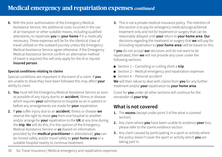**8.** With the prior authorisation of the Emergency Medical Assistance Service, the additional costs incurred in the use of air transport or other suitable means, including qualified attendants, to repatriate **you** to **your home** if it is medically necessary. These expenses will be for the identical class of travel utilised on the outward journey unless the Emergency Medical Assistance Service agree otherwise. If the Emergency Medical Assistance Service confirm an alternative method of travel is required this will only apply for the ill or injured **insured person**.

### **Special conditions relating to claims**

Special conditions are important in the event of a claim. If **you** are unable to show they have been followed this may affect **your** ability to claim.

- **1. You** must tell the Emergency Medical Assistance Service as soon as possible of any injury due to an **accident**, illness or disease which requires **your** admittance to hospital as an in-patient or before any arrangements are made for **your** repatriation.
- **2.** If **you** suffer injury due to an **accident**, illness or disease **we**  reserve the right to move **you** from one hospital to another and/or arrange for **your** repatriation to the **UK** at any time during the **trip**. **We** will do this, if in the opinion of the Emergency Medical Assistance Service or **us** (based on information provided by the **medical practitioner** in attendance), **you** can be moved safely and/or travel safely to **your home area** or a suitable hospital nearby to continue treatment.

**3.** This is not a private medical insurance policy. The intention of this section is to pay for emergency medical/surgical/dental treatment only and not for treatment or surgery that can be reasonably delayed until **your** return to **your home area**. **Our**  decisions regarding the treatment or surgery that **we** will pay for (including repatriation to **your home area**) will be based on this.

If **you** do not accept **our** decisions and do not want to be repatriated, then **we** will not provide any cover under the following sections:

- Section 1 Cancelling or cutting short a **trip**
- Section 2 Medical emergency and repatriation expenses
- Section 6 Personal accident

**We** will then refuse to deal with claims from **you** for any further treatment and/or **your** repatriation to **your home area**.

Cover for **you** under all other sections will continue for the remainder of **your trip**.

## **What is not covered**

- **1.** The **excess** (except under point 3 of the what is covered section).
- **2.** Any claim where **you** have been unable to evidence **your** loss, please refer to the claims evidence section.
- **3.** Any claim caused by participating in a sport or activity where the policy doesn't cover the sport or activity which **you** are taking part in.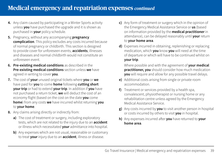- **4.** Any claim caused by participating in a Winter Sports activity unless **you** have purchased the upgrade and it is shown as purchased in **your** policy schedule.
- **5.** Pregnancy, without any accompanying **pregnancy complication**. This policy excludes any costs incurred because of normal pregnancy or childbirth. This section is designed to provide cover for unforeseen events, **accidents**, illnesses and diseases and normal childbirth would not constitute an unforeseen event.
- **6. Pre-existing medical conditions** as described in the **Pre-existing medical conditions** section unless **we** have agreed in writing to cover **you**.
- **7.** The cost of **your** unused original tickets where **you** or **we**  have paid for **you** to come **home** following **cutting short your trip** or had to extend **your trip**. In addition if **you** have not purchased a return ticket, **we** will deduct the cost of an economy flight (based on the cost on the date **you** come **home**) from any costs **we** have incurred whilst returning **you**  to **your home**.
- **8.** Any claims arising directly or indirectly from:
	- **a)** The cost of treatment or surgery, including exploratory tests, which are not related to the injury due to an **accident**  or illness which necessitated **your** admittance into hospital.
	- **b)** Any expenses which are not usual, reasonable or customary to treat **your** injury due to an **accident**, illness or disease.
- **c)** Any form of treatment or surgery which in the opinion of the Emergency Medical Assistance Service or **us** (based on information provided by the **medical practitioner** in attendance), can be delayed reasonably until **your** return to **your home area**.
- **d)** Expenses incurred in obtaining, replenishing or replacing medication, which **you** know **you** will need at the time of departure or which will have to be continued whilst on **your trip**.

Where possible and with the agreement of **your medical practitioner, you** should consider how much medication **you** will require and allow for any possible travel delays.

- **e)** Additional costs arising from single or private room accommodation.
- **f)** Treatment or services provided by a health spa, convalescent, physiotherapist or nursing home or any rehabilitation centre unless agreed by the Emergency Medical Assistance Service.
- **g)** Any costs incurred by **you** to visit another person in hospital or costs incurred by others to visit **you** in hospital.
- **h)** Any expenses incurred after **you** have returned to **your home area**.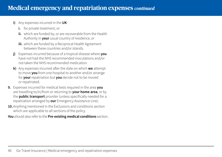### **i)** Any expenses incurred in the **UK**:

- **i.** for private treatment, or
- **ii.** which are funded by, or are recoverable from the Health Authority in **your** usual country of residence, or
- **iii.** which are funded by a Reciprocal Health Agreement between these countries and/or islands.
- **j)** Expenses incurred because of a tropical disease where **you** have not had the NHS recommended inoculations and/or not taken the NHS recommended medication.
- **k)** Any expenses incurred after the date on which **we** attempt to move **you** from one hospital to another and/or arrange for **your** repatriation but **you** decide not to be moved or repatriated.
- **9.** Expenses incurred for medical tests required in the area **you**  are travelling to/in/from or returning to **your home area**, or by the **public transport** provider (unless specifically needed for a repatriation arranged by **our** Emergency Assistance Line).
- **10.**Anything mentioned in the Exclusions and conditions section which are applicable to all sections of the policy.

**You** should also refer to the **Pre-existing medical conditions** section.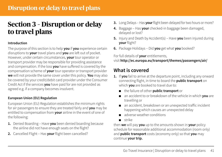## <span id="page-40-0"></span>**Section 3 – Disruption or delay to travel plans**

#### **Introduction**

The purpose of this section is to help **you** if **you** experience certain disruptions to **your** travel plans and **you** are left out of pocket. However, under certain circumstances, **your** tour operator or transport provider may be responsible for providing assistance and compensation. If the loss **you** have suffered is covered by the compensation scheme of **your** tour operator or transport provider **we** will not provide the same cover under this policy. **You** may also be covered by your credit/debit card provider under the Consumer Credit Act if the services **you** have paid for are not provided as agreed e.g. if a company becomes insolvent.

### **European Union (EU) Regulation**

European Union (EU) Regulation establishes the minimum rights for air passengers to ensure they are treated fairly and **you** may be entitled to compensation from **your** airline in the event of one of the following:

- **1.** Denied Boarding Have **you** been denied boarding because the airline did not have enough seats on the flight?
- **2.** Cancelled Flight Has **your** flight been cancelled?
- **3.** Long Delays Has **your** flight been delayed for two hours or more?
- **4.** Baggage Has **your** checked-in baggage been damaged, delayed or lost?
- **5.** Injury and Death by Accident(s) Have **you** been injured during **your** flight?
- **6.** Package Holidays Did **you** get what **you** booked?

For full details of **your** entitlements,

visit **<http://ec.europa.eu/transport/themes/passengers/air/>**

### **What is covered**

- **1.** If **you** fail to arrive at the departure point, including any onward connecting flight, in time to board the **public transport** on which **you** are booked to travel due to:
	- the failure of other **public transport** or
	- an accident to or breakdown of the vehicle in which **you** are travelling or
	- an accident, breakdown or an unexpected traffic incident happening which causes an unexpected delay
	- adverse weather conditions
	- strike

then **we** will pay **you** up to the amounts shown in **your** policy schedule for reasonable additional accommodation (room only) and **public transport** costs (economy only) so that **you** may continue **your trip.**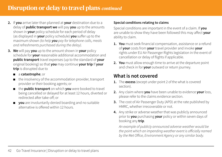- **2.** If **you** arrive later than planned at **your** destination due to a delay of **public transport we** will pay **you** up to the amounts shown in **your** policy schedule for each period of delay (as displayed in **your** policy schedule) **you** suffer up to the maximum shown *(to help you pay for telephone calls, meals and refreshments purchased during the delay)*.
- **3. We** will pay **you** up to the amount shown in **your** policy schedule for **your** reasonable additional accommodation and **public transport** travel expenses (up to the standard of **your** original booking) so that **you** may continue **your trip** If **your trip** is disrupted due to
	- a **catastrophe**; or
	- the insolvency of the accommodation provider, transport provider or their booking agents; or
	- the **public transport** on which **you** were booked to travel being cancelled or delayed for at least 12 hours, diverted or redirected after take-off; or
	- **you** are involuntarily denied boarding and no suitable alternative is offered within 12 hours.

### **Special conditions relating to claims**

Special conditions are important in the event of a claim. If **you** are unable to show they have been followed this may affect **your** ability to claim.

- **1. You** must seek financial compensation, assistance or a refund of **your** costs from **your** travel provider and invoke **your** rights under EU Air Passenger Rights legislation in the event of cancellation or delay of flights if applicable.
- **2. You** must allow enough time to arrive at the departure point and check in for **your** outward or return journey.

### **What is not covered**

- **1.** The **excess** (except under point 2 of the what is covered section).
- **2.** Any claim where **you** have been unable to evidence **your** loss, please refer to the claims evidence section.
- **3.** The cost of Air Passenger Duty (APD) at the rate published by HMRC, whether irrecoverable or not.
- **4.** Any strike or adverse weather that was publicly announced prior to **you** purchasing **your** policy or within seven days of booking any **trip**.

*An example of publicly announced adverse weather would be the point which an impending weather event is officially named by the Met Office, Environment Agency or any similar body.*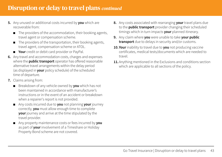- **5.** Any unused or additional costs incurred by **you** which are recoverable from:
	- The providers of the accommodation, their booking agents, travel agent or compensation scheme.
	- The providers of the transportation, their booking agents, travel agent, compensation scheme or ATOL.
	- **Your** credit or debit card provider or PayPal.
- **6.** Any travel and accommodation costs, charges and expenses where the **public transport** operator has offered reasonable alternative travel arrangements within the delay period (as displayed in **your** policy schedule) of the scheduled time of departure.
- **7.** Claims arising from:
	- Breakdown of any vehicle owned by **you** which has not been maintained in accordance with manufacturer's instructions or in the event of an accident or breakdown when a repairer's report is not provided.
	- Any costs incurred due to **you** not planning **your** journey correctly, **you** must allow enough time to complete **your** journey and arrive at the time stipulated by the travel provider.
	- Any property maintenance costs or fees incurred by **you** as part of **your** involvement of a Timeshare or Holiday Property Bond scheme are not covered.
- **8.** Any costs associated with rearranging **your** travel plans due to the **public transport** provider changing their scheduled timings which in turn impacts **your** planned itinerary.
- **9.** Any claim where **you** were unable to take **your public transport** due to delays in security and/or customs.
- **10. Your** inability to travel due to **you** not producing vaccine certificates, medical tests/documents which are needed to travel.
- **11.**Anything mentioned in the Exclusions and conditions section which are applicable to all sections of the policy.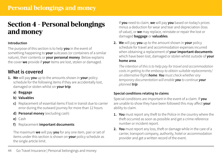## <span id="page-43-0"></span>**Section 4 – Personal belongings and money**

#### **Introduction**

The purpose of this section is to help **you** in the event of something happening to **your** suitcases (or containers of a similar nature), their contents or **your personal money**. Below explains the cover **we** provide if **your** items are lost, stolen or damaged.

### **What is covered**

- **1. We** will pay **you** up to the amounts shown in **your** policy schedule for the following items if they are accidentally lost, damaged or stolen whilst on **your trip**:
	- **a) Baggage**
	- **b) Valuables**
	- **c)** Replacement of essential items if lost in transit due to carrier error during the outward journey for more than 12 hours
	- **d) Personal money** (excluding cash)
	- **e)** Cash
	- **f)** Replacement **important documents**

The maximum **we** will pay **you** for any one item, pair or set of items under this section is shown on **your** policy schedule as the single article limit.

- If **you** need to claim, **we** will pay **you** based on today's prices minus a deduction for wear and tear and depreciation (loss of value), or **we** may replace, reinstate or repair the lost or damaged **baggage** or **valuables**.
- **2. We** will pay **you** up to the amount shown in **your** policy schedule for travel and accommodation expenses incurred when obtaining a replacement of **your important documents** which have been lost, damaged or stolen whilst outside of **your home area**.

*The intention of this is to help pay for travel and accommodation costs in getting to the embassy to obtain suitable replacements/ an alternative flight home. You must check whether any temporary documentation will enable you to continue your planned trip.*

### **Special conditions relating to claims**

Special conditions are important in the event of a claim. If **you** are unable to show they have been followed this may affect **your** ability to claim.

- **1. You** must report any theft to the Police in the country where the theft occurred as soon as possible and get a crime reference number or incident report.
- **2. You** must report any loss, theft or damage while in the care of a carrier, transport company, authority, hotel or accommodation provider and get a written record of the event.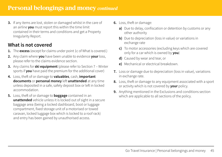## **Personal belongings and money** *continued*

**3.** If any items are lost, stolen or damaged whilst in the care of an airline **you** must report this within the time limit contained in their terms and conditions and get a Property Irregularity Report.

### **What is not covered**

- **1.** The **excess** (except for claims under point 1c of What is covered.)
- **2.** Any claim where **you** have been unable to evidence **your** loss, please refer to the claims evidence section.
- **3.** Any claims for **ski equipment** (please refer to Section 7 Winter sports if **you** have paid the premium for the additional cover)
- **4.** Loss, theft of or damage to **valuables**, cash, **important documents** or **personal money** left **unattended** at any time unless deposited in a safe, safety deposit box or left in locked accommodation.
- **5.** Loss, theft of or damage to **baggage** contained in an **unattended** vehicle unless it is locked out of sight in a secure baggage area (being a locked dashboard, boot or luggage compartment, fixed storage unit of a motorised or towed caravan, locked luggage box which is locked to a roof rack) and entry has been gained by unauthorised access.
- **6.** Loss, theft or damage:
	- **a)** Due to delay, confiscation or detention by customs or any other authority
	- **b)** Due to depreciation (loss in value) or variations in exchange rate
	- **c)** To motor accessories (excluding keys which are covered only for a car which is owned by **you**)
	- **d)** Caused by wear and tear, or
	- **e)** Mechanical or electrical breakdown.
- **7.** Loss or damage due to depreciation (loss in value), variations in exchange rate.
- **8.** Loss, theft or damage to any equipment associated with a sport or activity which is not covered by **your** policy.
- **9.** Anything mentioned in the Exclusions and conditions section which are applicable to all sections of the policy.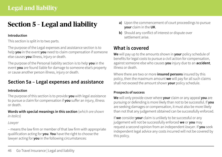## <span id="page-45-0"></span>**Section 5 – Legal and liability**

### **Introduction**

This section is split in to two parts.

The purpose of the Legal expenses and assistance section is to help **you** in the event **you** need to claim compensation if someone else causes **you** illness, injury or death.

The purpose of the Personal liability section is to help **you** in the event **you** are found liable for damage to someone else's property or cause another person illness, injury or death.

## **Section 5a – Legal expenses and assistance**

### **Introduction**

The purpose of this section is to provide **you** with legal assistance to pursue a claim for compensation if **you** suffer an injury, illness or death.

**Words with special meanings in this section** (*which are shown in italics*)

*Lawyer* 

– means the law firm or member of that law firm with appropriate qualification acting for **you**. **You** have the right to choose the lawyer acting for **you** in the following circumstances:

- **a)** Upon the commencement of court proceedings to pursue **your** claim in the **UK**.
- **b)** Should any conflict of interest or dispute over settlement arise.

## **What is covered**

**We** will pay up to the amounts shown in **your** policy schedule of benefits for legal costs to pursue a civil action for compensation, against someone else who causes **you** injury due to an **accident**, illness or death.

Where there are two or more **insured persons** insured by this policy, then the maximum amount **we** will pay for all such claims shall not exceed the amount shown **your** policy schedule.

### **Prospects of success**

**We** will only provide cover where **your** claim or any appeal **you** are pursuing or defending is more likely than not to be successful. If **you**  are seeking damages or compensation, it must also be more likely than not that any judgement obtained can be successfully enforced.

If **we** consider **your** claim is unlikely to be successful or any judgement will not be successfully enforced **we** or **you** may request a second opinion from an independent *lawyer*. If **you** seek independent legal advice any costs incurred will not be covered by this policy.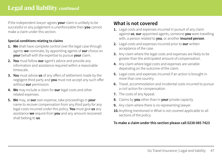## **Legal and liability** *continued*

If the independent *lawyer* agrees **your** claim is unlikely to be successful or any judgement is unenforceable then **you** cannot make a claim under this section.

### **Special conditions relating to claims**

- **1. We** shall have complete control over the legal case through agents **we** nominate, by appointing agents of **our** choice on **your** behalf with the expertise to pursue **your** claim.
- **2. You** must follow **our** agent's advice and provide any information and assistance required within a reasonable timescale.
- **3. You** must advise **us** of any offers of settlement made by the negligent third party and **you** must not accept any such offer without **our** permission.
- **4. We** may include a claim for **our** legal costs and other related expenses.
- **5. We** may, at **our** own expense, take proceedings in **your**  name to recover compensation from any third party for any legal costs incurred under this policy. **You** must give **us** any assistance **we** require from **you** and any amount recovered shall belong to **us**.

### **What is not covered**

- **1.** Legal costs and expenses incurred in pursuit of any claim against **us**, **our** appointed agents, someone **you** were travelling with, a person related to **you**, or another **insured person**.
- **2.** Legal costs and expenses incurred prior to **our** written acceptance of the case.
- **3.** Any claim where the legal costs and expenses are likely to be greater than the anticipated amount of compensation.
- **4.** Any claim where legal costs and expenses are variable depending on the outcome of the claim.
- **5.** Legal costs and expenses incurred if an action is brought in more than one country.
- **6.** Travel, accommodation and incidental costs incurred to pursue a civil action for compensation.
- **7.** The costs of any Appeal.
- **8.** Claims by **you** other than in **your** private capacity.
- **9.** Any claim where there is no representing lawyer.
- **10.**Anything mentioned in What is not covered applicable to all sections of the policy.

### **To make a claim under this section please call 0238 085 7423**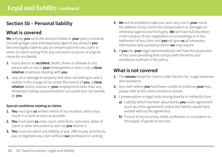## **Section 5b – Personal liability**

## **What is covered**

**We** will pay **you** up to the amount shown in **your** policy schedule (including legal costs and expenses) against any amount **you**  become legally liable to pay as compensation for any claim or series of claims arising from any one event or source of original cause for accidental:

- **1.** Injury due to an **accident**, death, illness or disease to any person who is not in **your** employment or who is not a **close relative** or persons residing with **you**.
- **2.** Loss of or damage to property that does not belong to and is neither in the charge of nor under the control of **you**, a **close relative** and/or anyone in **your** employment other than any temporary holiday accommodation occupied (but not owned) by **you**.

### **Special conditions relating to claims**

- **1. You** must give **us** written notice of any incident, which may result in a claim as soon as possible.
- **2. You** must send **us** every court claim form, summons, letter of claim or other document as soon as **you** receive it.
- **3. You** must not admit any liability or pay, offer to pay, promise to pay or negotiate any claim without **our** permission in writing.
- **4. We** will be entitled to take over and carry out in **your** name the defence of any claims for compensation or damages or otherwise against any third party. **We** will have full discretion in the conduct of any negotiation or proceedings or in the settlement of any claim and **you** will give **us** all necessary information and assistance which **we** may require.
- **5.** If **you** die, **your** legal representative(s) will have the protection of this cover providing they comply with the terms and conditions outlined in this policy.

### **What is not covered**

- **1.** The **excess** except for claims under Section 5a Legal expenses and assistance.
- **2.** Any claim where **you** have been unable to evidence **your** loss, please refer to the claims evidence section.
- **3.** Compensation or legal costs arising directly or indirectly from:
	- **a)** Liability which has been assumed by **you** under agreement (such as a hire agreement) unless the liability would have existed without the agreement.
	- **b)** Pursuit of any business, trade, profession or occupation or the supply of goods or services.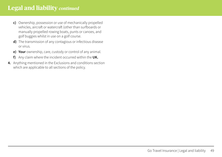## **Legal and liability** *continued*

- **c)** Ownership, possession or use of mechanically propelled vehicles, aircraft or watercraft (other than surfboards or manually propelled rowing boats, punts or canoes, and golf buggies whilst in use on a golf course.
- **d)** The transmission of any contagious or infectious disease or virus.
- **e) Your** ownership, care, custody or control of any animal.
- **f)** Any claim where the incident occurred within the **UK.**
- **4.** Anything mentioned in the Exclusions and conditions section which are applicable to all sections of the policy.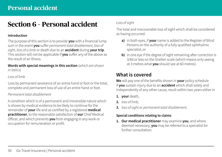## <span id="page-49-0"></span>**Section 6 – Personal accident**

### **Introduction**

The purpose of this section is to provide **you** with a financial lump sum in the event **you** suffer *permanent total disablement*, *loss of sight*, *loss of a limb* or death due to an **accident** during **your trip**. This section will not be applicable if **you** suffer any of the above as the result of an illness.

**Words with special meanings in this section** (*which are shown in italics*)

### *Loss of limb*

Loss by permanent severance of an entire hand or foot or the total, complete and permanent loss of use of an entire hand or foot.

### *Permanent total disablement*

A condition which is of a permanent and irreversible nature which is shown by medical evidence to be likely to continue for the remainder of **your** life and as certified by a registered **medical practitioner**, to the reasonable satisfaction of **our** Chief Medical Officer, and which prevents **you** from engaging in any work or occupation for remuneration or profit.

### *Loss of sight*

The total and irrecoverable loss of sight which shall be considered as having occurred:

- **a)** in both eyes, if **your** name is added to the Register of Blind Persons on the authority of a fully qualified ophthalmic specialist; or
- **b)** in one eye if the degree of sight remaining after correction is 3/60 or less on the Snellen scale (which means only seeing at 3 metres what **you** should see at 60 metres).

## **What is covered**

**We** will pay one of the benefits shown in **your** policy schedule if **you** sustain injury due to an **accident** which shall solely and independently of any other cause, result within two years either in

- **1. your** death,
- **2.** *loss of limb,*
- **3.** *loss of sight* or *permanent total disablement*.

### **Special conditions relating to claims**

**1. Our medical practitioner** may examine **you**, and where deemed necessary, **you** may be referred to a specialist for further consultation.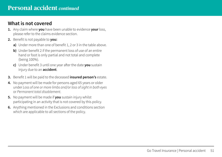### **What is not covered**

- **1.** Any claim where **you** have been unable to evidence **your** loss, please refer to the claims evidence section.
- **2.** Benefit is not payable to **you:**
	- **a)** Under more than one of benefit 1, 2 or 3 in the table above.
	- **b)** Under benefit 2 if the permanent loss of use of an entire hand or foot is only partial and not total and complete (being 100%).
	- **c)** Under benefit 3 until one year after the date **you** sustain injury due to an **accident**.
- **3.** Benefit 1 will be paid to the deceased **insured person's** estate.
- **4.** No payment will be made for persons aged 65 years or older under *Loss of one or more limbs and/or loss of sight in both eyes* or *Permanent total disablement*.
- **5.** No payment will be made if **you** sustain injury whilst participating in an activity that is not covered by this policy.
- **6.** Anything mentioned in the Exclusions and conditions section which are applicable to all sections of the policy.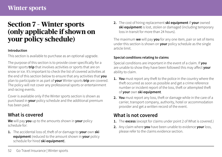## <span id="page-51-0"></span>**Winter sports**

## **Section 7 – Winter sports (only applicable if shown on your policy schedule)**

#### **Introduction**

This section is available to purchase as an optional upgrade.

The purpose of this section is to provide cover specifically for a Winter sports **trip** that involves activities or sports that are on snow or ice. It's important to check the list of covered activities at the end of this section below to ensure that any activities that **you** plan to participate in as part of **your** Winter sports **trip** are covered. The policy will not cover any professional sports or entertainment and racing events.

Cover is available only if the Winter sports section is shown as purchased in **your** policy schedule and the additional premium has been paid.

### **What is covered**

**We** will pay **you** up to the amounts shown in **your** policy schedule for:

**1.** The accidental loss of, theft of or damage to **your** own **ski equipment** (reduced to the amount shown in **your** policy schedule for hired **ski equipment**).

**2.** The cost of hiring replacement **ski equipment** if **your** owned **ski equipment** is lost, stolen or damaged (including temporary loss in transit for more than 24 hours).

The maximum **we** will pay **you** for any one item, pair or set of items under this section is shown on **your** policy schedule as the single article limit.

### **Special conditions relating to claims**

Special conditions are important in the event of a claim. If **you** are unable to show they have been followed this may affect **your** ability to claim.

- **1. You** must report any theft to the police in the country where the theft occurred as soon as possible and get a crime reference number or incident report of the loss, theft or attempted theft of **your** own **ski equipment**.
- **2. You** must report any loss, theft or damage while in the care of a carrier, transport company, authority, hotel or accommodation provider and get a written record of the event.

## **What is not covered**

- **1.** The **excess** (except for claims under point 2 of What is covered.)
- **2.** Any claim where **you** have been unable to evidence **your** loss, please refer to the claims evidence section.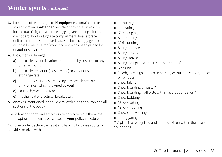- **3.** Loss, theft of or damage to **ski equipment** contained in or stolen from an **unattended** vehicle at any time unless it is locked out of sight in a secure baggage area (being a locked dashboard, boot or luggage compartment, fixed storage unit of a motorised or towed caravan, locked luggage box which is locked to a roof rack) and entry has been gained by unauthorised access.
- **4.** Loss, theft or damage:
	- **a)** due to delay, confiscation or detention by customs or any other authority
	- **b)** due to depreciation (loss in value) or variations in exchange rate
	- **c)** to motor accessories (excluding keys which are covered only for a car which is owned by **you**)
	- **d)** caused by wear and tear, or
	- **e)** mechanical or electrical breakdown.
- **5.** Anything mentioned in the General exclusions applicable to all sections of the policy.

The following sports and activities are only covered if the Winter sports option is shown as purchased in **your** policy schedule.

No cover under Section 5 – Legal and liability for those sports or activities marked with \*

- Ice hockey
- Ice skating
- Kick sledging
- Ski blading
- \*Ski dooing'
- Skiing on piste\*\*
- Skiing mono
- Skiing Nordic
- Skiing off piste within resort boundaries\*\*
- Sledging
- \*Sledging/sleigh riding as a passenger (pulled by dogs, horses or reindeer)
- Snow biking
- Snow boarding on piste\*\*
- Snow boarding off piste within resort boundaries\*\*
- Snow bobbing
- \*Snow carting
- \*Snow mobiling
- Snow shoe walking
- Tobogganing
- \*\* A piste is a recognised and marked ski run within the resort boundaries.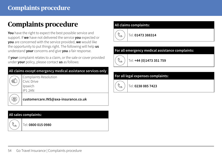## <span id="page-53-0"></span>**Complaints procedure**

**You** have the right to expect the best possible service and support. If **we** have not delivered the service **you** expected or **you** are concerned with the service provided, **we** would like the opportunity to put things right. The following will help **us** understand **your** concerns and give **you** a fair response.

If **your** complaint relates to a claim, or the sale or cover provided under **your** policy, please contact **us** as follows:

## **All claims except emergency medical assistance services only**

| Complaints Resolution |
|-----------------------|
| Civic Drive           |
| Ipswich               |
| IP12AN                |

**[customercare.INS@axa-insurance.co.uk](mailto:customercare.INS%40axa-insurance.co.uk?subject=)**

### **All sales complaints:**



<u>ේ</u>

凰

Tel: **0800 015 0980**



### **For all emergency medical assistance complaints:**



Tel: **+44 (0)1473 351 759**

### **For all legal expenses complaints:**



Tel: **0238 085 7423**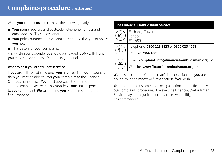## **Complaints procedure** *continued*

When **you** contact **us**, please have the following ready:

- **Your** name, address and postcode, telephone number and email address (if **you** have one).
- **Your** policy number and/or claim number and the type of policy **you** hold.
- The reason for **your** complaint.

Any written correspondence should be headed 'COMPLAINT' and **you** may include copies of supporting material.

### **What to do if you are still not satisfied**

If **you** are still not satisfied once **you** have received **our** response, then **you** may be able to refer **your** complaint to the Financial Ombudsman Service. **You** must approach the Financial Ombudsman Service within six months of **our** final response to **your** complaint. **We** will remind **you** of the time limits in the final response.

| The Financial Ombudsman Service |                                                  |  |
|---------------------------------|--------------------------------------------------|--|
|                                 | Exchange Tower<br>London<br>E14 9SR              |  |
|                                 | Telephone: 0300 123 9123 or 0800 023 4567        |  |
|                                 | Fax: 020 7964 1001                               |  |
|                                 | Email: complaint.info@financial-ombudsman.org.uk |  |
| 질                               | Website: www.financial-ombudsman.org.uk          |  |

**We** must accept the Ombudsman's final decision, but **you** are not bound by it and may take further action if **you** wish.

**Your** rights as a customer to take legal action are unaffected by **our** complaints procedure. However, the Financial Ombudsman Service may not adjudicate on any cases where litigation has commenced.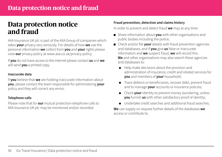## <span id="page-55-0"></span>**Data protection notice and fraud**

AXA Insurance UK plc is part of the AXA Group of companies which takes **your** privacy very seriously. For details of how **we** use the personal information **we** collect from **you** and **your** rights please view **our** privacy policy at [www.axa.co.uk/privacy-policy.](http://www.axa.co.uk/privacy-policy)

If **you** do not have access to the internet please contact **us** and **we** will send **you** a printed copy.

### **Inaccurate data**

If **you** believe that **we** are holding inaccurate information about **you**, please contact the team responsible for administering **your**  policy and they will correct any errors.

#### **Telephone calls**

Please note that for **our** mutual protection telephone calls to AXA Insurance UK plc may be monitored and/or recorded.

### **Fraud prevention, detection and claims history**

In order to prevent and detect fraud **we** may at any time:

- Share information about **you** with other organisations and public bodies including the police;
- Check and/or file **your** details with fraud prevention agencies and databases, and if **you** give **us** false or inaccurate information and **we** suspect fraud, **we** will record this. **We** and other organisations may also search these agencies and databases to:
	- Help make decisions about the provision and administration of insurance, credit and related services for **you** and members of **your** household;
	- ● Trace debtors or beneficiaries, recover debt, prevent fraud and to manage **your** accounts or insurance policies;
	- Check **your** identity to prevent money laundering, unless **you** furnish **us** with other satisfactory proof of identity;
	- Undertake credit searches and additional fraud searches.

**We** can supply on request further details of the databases **we**  access or contribute to.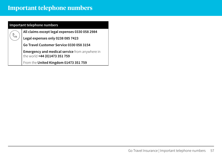## <span id="page-56-0"></span>**Important telephone numbers**

| Important telephone numbers |                                                                                     |  |
|-----------------------------|-------------------------------------------------------------------------------------|--|
|                             | All claims except legal expenses 0330 058 2984                                      |  |
| Š                           | Legal expenses only 0238 085 7423                                                   |  |
|                             | Go Travel Customer Service 0330 058 3154                                            |  |
|                             | <b>Emergency and medical service</b> from anywhere in the world +44 (0)1473 351 759 |  |
|                             | From the United Kingdom 01473 351 759                                               |  |